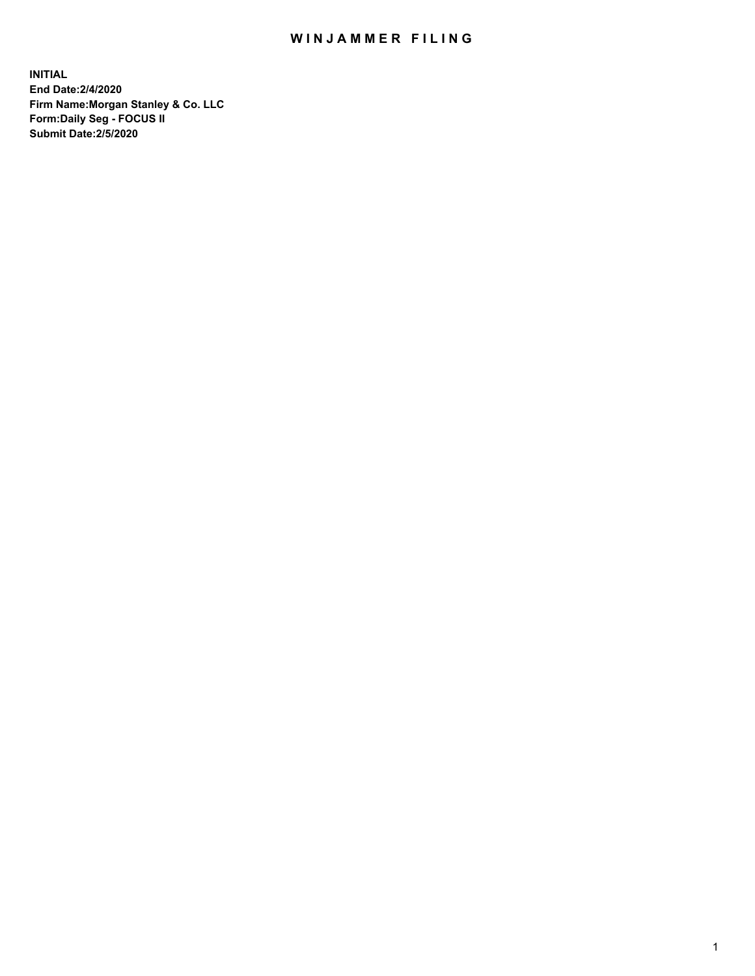## WIN JAMMER FILING

**INITIAL End Date:2/4/2020 Firm Name:Morgan Stanley & Co. LLC Form:Daily Seg - FOCUS II Submit Date:2/5/2020**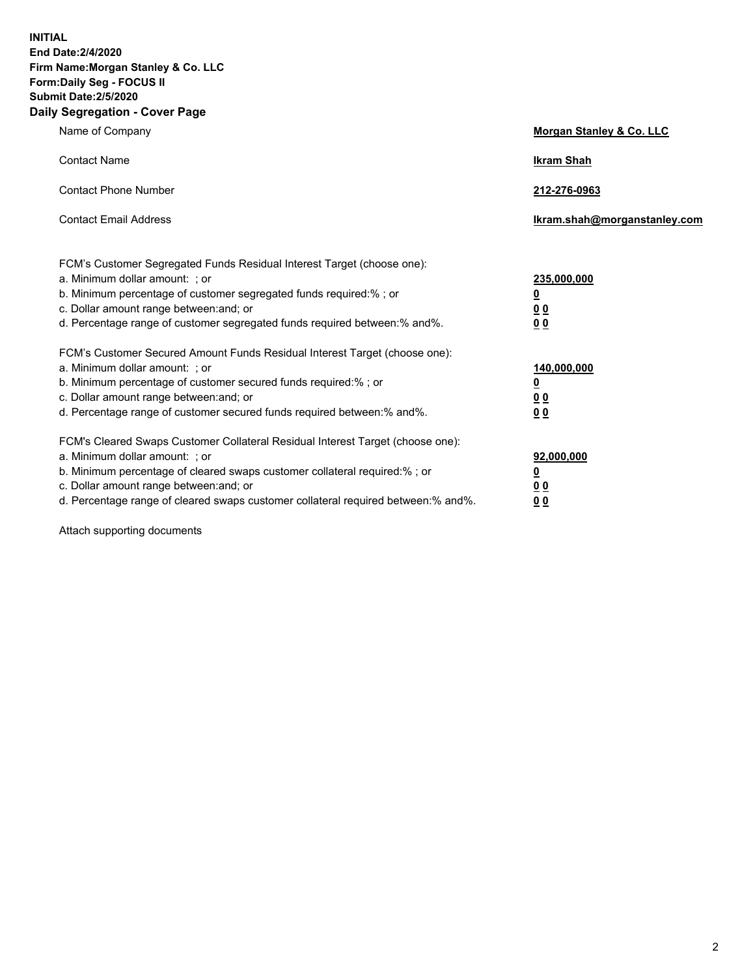**INITIAL End Date:2/4/2020 Firm Name:Morgan Stanley & Co. LLC Form:Daily Seg - FOCUS II Submit Date:2/5/2020 Daily Segregation - Cover Page**

| Name of Company                                                                   | Morgan Stanley & Co. LLC     |
|-----------------------------------------------------------------------------------|------------------------------|
| <b>Contact Name</b>                                                               | <b>Ikram Shah</b>            |
| <b>Contact Phone Number</b>                                                       | 212-276-0963                 |
| <b>Contact Email Address</b>                                                      | Ikram.shah@morganstanley.com |
| FCM's Customer Segregated Funds Residual Interest Target (choose one):            |                              |
| a. Minimum dollar amount: ; or                                                    | 235,000,000                  |
| b. Minimum percentage of customer segregated funds required:%; or                 | <u>0</u>                     |
| c. Dollar amount range between: and; or                                           | <u>00</u>                    |
| d. Percentage range of customer segregated funds required between:% and%.         | <u>00</u>                    |
| FCM's Customer Secured Amount Funds Residual Interest Target (choose one):        |                              |
| a. Minimum dollar amount: ; or                                                    | 140,000,000                  |
| b. Minimum percentage of customer secured funds required:%; or                    | <u>0</u>                     |
| c. Dollar amount range between: and; or                                           | <u>00</u>                    |
| d. Percentage range of customer secured funds required between: % and %.          | 0 <sub>0</sub>               |
| FCM's Cleared Swaps Customer Collateral Residual Interest Target (choose one):    |                              |
| a. Minimum dollar amount: ; or                                                    | 92,000,000                   |
| b. Minimum percentage of cleared swaps customer collateral required:% ; or        | <u>0</u>                     |
| c. Dollar amount range between: and; or                                           | 00                           |
| d. Percentage range of cleared swaps customer collateral required between:% and%. | 00                           |

Attach supporting documents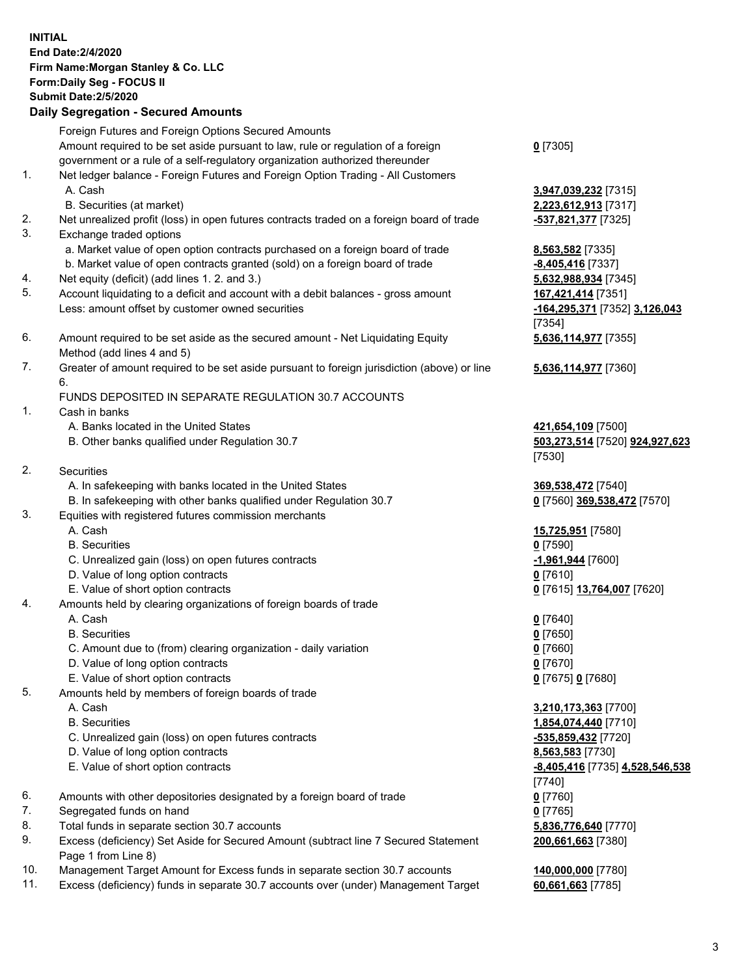|     | <b>INITIAL</b><br>End Date: 2/4/2020<br>Firm Name: Morgan Stanley & Co. LLC<br>Form: Daily Seg - FOCUS II<br><b>Submit Date: 2/5/2020</b><br><b>Daily Segregation - Secured Amounts</b> |                                                                |
|-----|-----------------------------------------------------------------------------------------------------------------------------------------------------------------------------------------|----------------------------------------------------------------|
|     | Foreign Futures and Foreign Options Secured Amounts                                                                                                                                     |                                                                |
|     | Amount required to be set aside pursuant to law, rule or regulation of a foreign<br>government or a rule of a self-regulatory organization authorized thereunder                        | $0$ [7305]                                                     |
| 1.  | Net ledger balance - Foreign Futures and Foreign Option Trading - All Customers<br>A. Cash                                                                                              | 3,947,039,232 [7315]                                           |
| 2.  | B. Securities (at market)<br>Net unrealized profit (loss) in open futures contracts traded on a foreign board of trade                                                                  | 2,223,612,913 [7317]                                           |
| 3.  | Exchange traded options                                                                                                                                                                 | <u>-537,821,377</u> [7325]                                     |
|     | a. Market value of open option contracts purchased on a foreign board of trade<br>b. Market value of open contracts granted (sold) on a foreign board of trade                          | 8,563,582 [7335]<br>-8,405,416 [7337]                          |
| 4.  | Net equity (deficit) (add lines 1.2. and 3.)                                                                                                                                            | 5,632,988,934 [7345]                                           |
| 5.  | Account liquidating to a deficit and account with a debit balances - gross amount<br>Less: amount offset by customer owned securities                                                   | 167,421,414 [7351]<br>-164,295,371 [7352] 3,126,043            |
|     |                                                                                                                                                                                         | [7354]                                                         |
| 6.  | Amount required to be set aside as the secured amount - Net Liquidating Equity<br>Method (add lines 4 and 5)                                                                            | 5,636,114,977 [7355]                                           |
| 7.  | Greater of amount required to be set aside pursuant to foreign jurisdiction (above) or line<br>6.                                                                                       | 5,636,114,977 [7360]                                           |
|     | FUNDS DEPOSITED IN SEPARATE REGULATION 30.7 ACCOUNTS                                                                                                                                    |                                                                |
| 1.  | Cash in banks                                                                                                                                                                           |                                                                |
|     | A. Banks located in the United States<br>B. Other banks qualified under Regulation 30.7                                                                                                 | 421,654,109 [7500]<br>503,273,514 [7520] 924,927,623<br>[7530] |
| 2.  | <b>Securities</b>                                                                                                                                                                       |                                                                |
|     | A. In safekeeping with banks located in the United States                                                                                                                               | 369,538,472 [7540]                                             |
| 3.  | B. In safekeeping with other banks qualified under Regulation 30.7<br>Equities with registered futures commission merchants                                                             | 0 [7560] 369,538,472 [7570]                                    |
|     | A. Cash                                                                                                                                                                                 | 15,725,951 [7580]                                              |
|     | <b>B.</b> Securities                                                                                                                                                                    | $0$ [7590]                                                     |
|     | C. Unrealized gain (loss) on open futures contracts                                                                                                                                     | -1,961,944 [7600]                                              |
|     | D. Value of long option contracts<br>E. Value of short option contracts                                                                                                                 | <u>0</u> [7610]<br>0 [7615] 13,764,007 [7620]                  |
| 4.  | Amounts held by clearing organizations of foreign boards of trade                                                                                                                       |                                                                |
|     | A. Cash                                                                                                                                                                                 | $0$ [7640]                                                     |
|     | <b>B.</b> Securities                                                                                                                                                                    | $0$ [7650]                                                     |
|     | C. Amount due to (from) clearing organization - daily variation                                                                                                                         | $0$ [7660]                                                     |
|     | D. Value of long option contracts                                                                                                                                                       | $0$ [7670]                                                     |
|     | E. Value of short option contracts                                                                                                                                                      | 0 [7675] 0 [7680]                                              |
| 5.  | Amounts held by members of foreign boards of trade                                                                                                                                      |                                                                |
|     | A. Cash<br><b>B.</b> Securities                                                                                                                                                         | 3,210,173,363 [7700]                                           |
|     | C. Unrealized gain (loss) on open futures contracts                                                                                                                                     | 1,854,074,440 [7710]<br>-535,859,432 [7720]                    |
|     | D. Value of long option contracts                                                                                                                                                       | 8,563,583 [7730]                                               |
|     | E. Value of short option contracts                                                                                                                                                      | -8,405,416 [7735] 4,528,546,538                                |
| 6.  |                                                                                                                                                                                         | $[7740]$                                                       |
| 7.  | Amounts with other depositories designated by a foreign board of trade<br>Segregated funds on hand                                                                                      | 0 [7760]<br>$0$ [7765]                                         |
| 8.  | Total funds in separate section 30.7 accounts                                                                                                                                           | 5,836,776,640 [7770]                                           |
| 9.  | Excess (deficiency) Set Aside for Secured Amount (subtract line 7 Secured Statement<br>Page 1 from Line 8)                                                                              | 200,661,663 [7380]                                             |
| 10. | Management Target Amount for Excess funds in separate section 30.7 accounts                                                                                                             | 140,000,000 [7780]                                             |
| 11. | Excess (deficiency) funds in separate 30.7 accounts over (under) Management Target                                                                                                      | 60,661,663 [7785]                                              |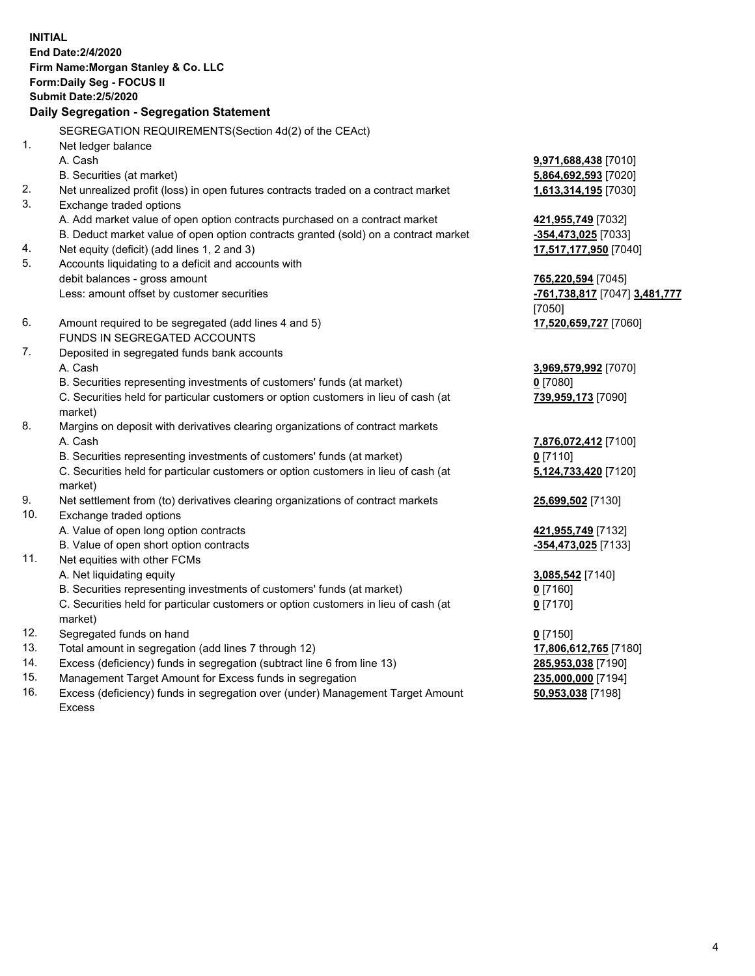| <b>INITIAL</b> | End Date: 2/4/2020<br>Firm Name: Morgan Stanley & Co. LLC<br>Form: Daily Seg - FOCUS II<br><b>Submit Date: 2/5/2020</b><br>Daily Segregation - Segregation Statement |                               |
|----------------|----------------------------------------------------------------------------------------------------------------------------------------------------------------------|-------------------------------|
|                | SEGREGATION REQUIREMENTS(Section 4d(2) of the CEAct)                                                                                                                 |                               |
| 1.             | Net ledger balance                                                                                                                                                   |                               |
|                | A. Cash                                                                                                                                                              | 9,971,688,438 [7010]          |
|                | B. Securities (at market)                                                                                                                                            | 5,864,692,593 [7020]          |
| 2.             | Net unrealized profit (loss) in open futures contracts traded on a contract market                                                                                   | 1,613,314,195 [7030]          |
| 3.             | Exchange traded options                                                                                                                                              |                               |
|                | A. Add market value of open option contracts purchased on a contract market                                                                                          | 421,955,749 [7032]            |
|                | B. Deduct market value of open option contracts granted (sold) on a contract market                                                                                  | -354,473,025 [7033]           |
| 4.             | Net equity (deficit) (add lines 1, 2 and 3)                                                                                                                          | 17,517,177,950 [7040]         |
| 5.             | Accounts liquidating to a deficit and accounts with                                                                                                                  |                               |
|                | debit balances - gross amount                                                                                                                                        | 765,220,594 [7045]            |
|                | Less: amount offset by customer securities                                                                                                                           | -761,738,817 [7047] 3,481,777 |
|                |                                                                                                                                                                      | [7050]                        |
| 6.             | Amount required to be segregated (add lines 4 and 5)                                                                                                                 | 17,520,659,727 [7060]         |
|                | FUNDS IN SEGREGATED ACCOUNTS                                                                                                                                         |                               |
| 7.             | Deposited in segregated funds bank accounts                                                                                                                          |                               |
|                | A. Cash                                                                                                                                                              | 3,969,579,992 [7070]          |
|                | B. Securities representing investments of customers' funds (at market)                                                                                               | $0$ [7080]                    |
|                | C. Securities held for particular customers or option customers in lieu of cash (at<br>market)                                                                       | 739,959,173 [7090]            |
| 8.             | Margins on deposit with derivatives clearing organizations of contract markets                                                                                       |                               |
|                | A. Cash                                                                                                                                                              | 7,876,072,412 [7100]          |
|                | B. Securities representing investments of customers' funds (at market)                                                                                               | $0$ [7110]                    |
|                | C. Securities held for particular customers or option customers in lieu of cash (at<br>market)                                                                       | 5,124,733,420 [7120]          |
| 9.             | Net settlement from (to) derivatives clearing organizations of contract markets                                                                                      | 25,699,502 [7130]             |
| 10.            | Exchange traded options                                                                                                                                              |                               |
|                | A. Value of open long option contracts                                                                                                                               | 421,955,749 [7132]            |
|                | B. Value of open short option contracts                                                                                                                              | -354,473,025 [7133]           |
| 11.            | Net equities with other FCMs                                                                                                                                         |                               |
|                | A. Net liquidating equity                                                                                                                                            | 3,085,542 [7140]              |
|                | B. Securities representing investments of customers' funds (at market)                                                                                               | $0$ [7160]                    |
|                | C. Securities held for particular customers or option customers in lieu of cash (at<br>market)                                                                       | $0$ [7170]                    |
| 12.            | Segregated funds on hand                                                                                                                                             | $0$ [7150]                    |
| 13.            | Total amount in segregation (add lines 7 through 12)                                                                                                                 | 17,806,612,765 [7180]         |
| 14.            | Excess (deficiency) funds in segregation (subtract line 6 from line 13)                                                                                              | 285,953,038 [7190]            |

- 
- 15. Management Target Amount for Excess funds in segregation<br>16. Excess (deficiency) funds in segregation over (under) Management Target Amount **1998**,000,000 [7198] Excess (deficiency) funds in segregation over (under) Management Target Amount Excess

**50,953,038** [7198]